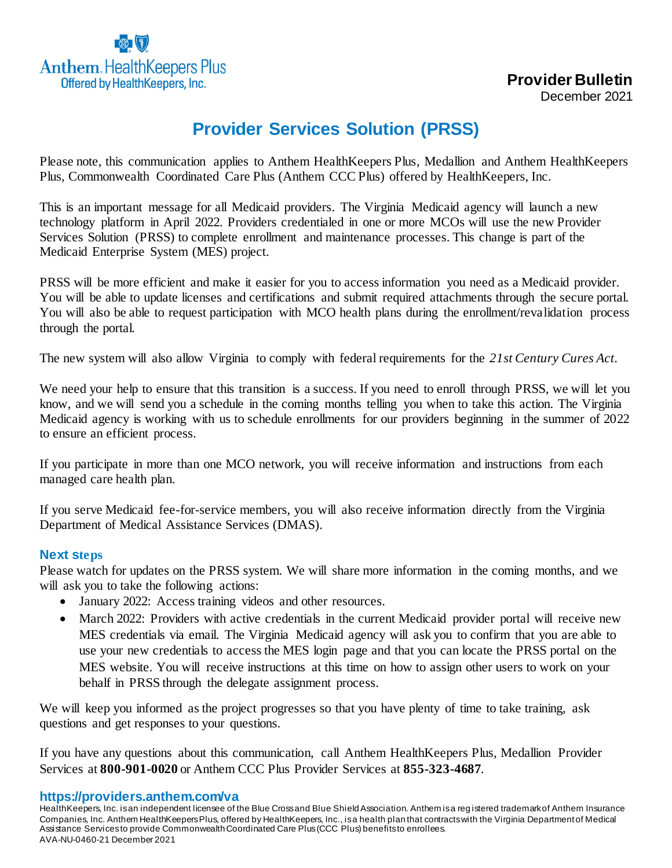

## **Provider Services Solution (PRSS)**

Please note, this communication applies to Anthem HealthKeepers Plus, Medallion and Anthem HealthKeepers Plus, Commonwealth Coordinated Care Plus (Anthem CCC Plus) offered by HealthKeepers, Inc.

This is an important message for all Medicaid providers. The Virginia Medicaid agency will launch a new technology platform in April 2022. Providers credentialed in one or more MCOs will use the new Provider Services Solution (PRSS) to complete enrollment and maintenance processes. This change is part of the Medicaid Enterprise System (MES) project.

PRSS will be more efficient and make it easier for you to access information you need as a Medicaid provider. You will be able to update licenses and certifications and submit required attachments through the secure portal. You will also be able to request participation with MCO health plans during the enrollment/revalidation process through the portal.

The new system will also allow Virginia to comply with federal requirements for the *21st Century Cures Act*.

We need your help to ensure that this transition is a success. If you need to enroll through PRSS, we will let you know, and we will send you a schedule in the coming months telling you when to take this action. The Virginia Medicaid agency is working with us to schedule enrollments for our providers beginning in the summer of 2022 to ensure an efficient process.

If you participate in more than one MCO network, you will receive information and instructions from each managed care health plan.

If you serve Medicaid fee-for-service members, you will also receive information directly from the Virginia Department of Medical Assistance Services (DMAS).

## **Next steps**

Please watch for updates on the PRSS system. We will share more information in the coming months, and we will ask you to take the following actions:

- January 2022: Access training videos and other resources.
- March 2022: Providers with active credentials in the current Medicaid provider portal will receive new MES credentials via email. The Virginia Medicaid agency will ask you to confirm that you are able to use your new credentials to access the MES login page and that you can locate the PRSS portal on the MES website. You will receive instructions at this time on how to assign other users to work on your behalf in PRSS through the delegate assignment process.

We will keep you informed as the project progresses so that you have plenty of time to take training, ask questions and get responses to your questions.

If you have any questions about this communication, call Anthem HealthKeepers Plus, Medallion Provider Services at **800-901-0020** or Anthem CCC Plus Provider Services at **855-323-4687**.

**https://providers.anthem.com/va**

HealthKeepers, Inc. is an independent licensee of the Blue Cross and Blue Shield Association. Anthem is a reg istered trademark of Anthem Insurance Companies, Inc. Anthem HealthKeepers Plus, offered by HealthKeepers, Inc., is a health plan that contracts with the Virginia Department of Medical Assistance Services to provide Commonwealth Coordinated Care Plus (CCC Plus) benefits to enrollees. AVA-NU-0460-21 December 2021